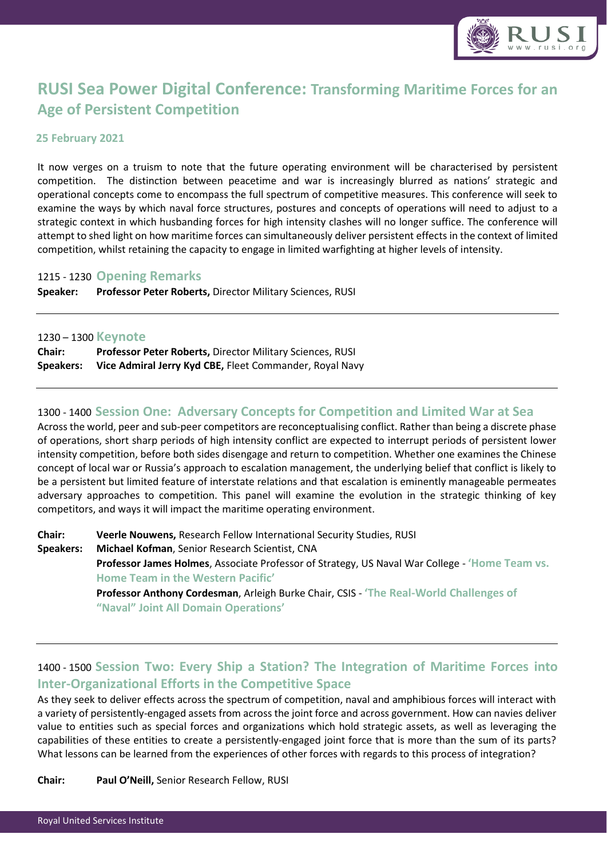

# **RUSI Sea Power Digital Conference: Transforming Maritime Forces for an Age of Persistent Competition**

## **25 February 2021**

It now verges on a truism to note that the future operating environment will be characterised by persistent competition. The distinction between peacetime and war is increasingly blurred as nations' strategic and operational concepts come to encompass the full spectrum of competitive measures. This conference will seek to examine the ways by which naval force structures, postures and concepts of operations will need to adjust to a strategic context in which husbanding forces for high intensity clashes will no longer suffice. The conference will attempt to shed light on how maritime forces can simultaneously deliver persistent effects in the context of limited competition, whilst retaining the capacity to engage in limited warfighting at higher levels of intensity.

## 1215 - 1230 **Opening Remarks**

**Speaker: Professor Peter Roberts,** Director Military Sciences, RUSI

#### 1230 – 1300 **Keynote**

| <b>Chair:</b>    | <b>Professor Peter Roberts, Director Military Sciences, RUSI</b> |
|------------------|------------------------------------------------------------------|
| <b>Speakers:</b> | Vice Admiral Jerry Kyd CBE, Fleet Commander, Royal Navy          |

## 1300 - 1400 **Session One: Adversary Concepts for Competition and Limited War at Sea**

Across the world, peer and sub-peer competitors are reconceptualising conflict. Rather than being a discrete phase of operations, short sharp periods of high intensity conflict are expected to interrupt periods of persistent lower intensity competition, before both sides disengage and return to competition. Whether one examines the Chinese concept of local war or Russia's approach to escalation management, the underlying belief that conflict is likely to be a persistent but limited feature of interstate relations and that escalation is eminently manageable permeates adversary approaches to competition. This panel will examine the evolution in the strategic thinking of key competitors, and ways it will impact the maritime operating environment.

**Chair: Veerle Nouwens,** Research Fellow International Security Studies, RUSI **Speakers: Michael Kofman**, Senior Research Scientist, CNA **Professor James Holmes**, Associate Professor of Strategy, US Naval War College - **'Home Team vs. Home Team in the Western Pacific' Professor Anthony Cordesman**, Arleigh Burke Chair, CSIS - **'The Real-World Challenges of "Naval" Joint All Domain Operations'**

# 1400 - 1500 **Session Two: Every Ship a Station? The Integration of Maritime Forces into Inter-Organizational Efforts in the Competitive Space**

As they seek to deliver effects across the spectrum of competition, naval and amphibious forces will interact with a variety of persistently-engaged assets from across the joint force and across government. How can navies deliver value to entities such as special forces and organizations which hold strategic assets, as well as leveraging the capabilities of these entities to create a persistently-engaged joint force that is more than the sum of its parts? What lessons can be learned from the experiences of other forces with regards to this process of integration?

**Chair: Paul O'Neill,** Senior Research Fellow, RUSI